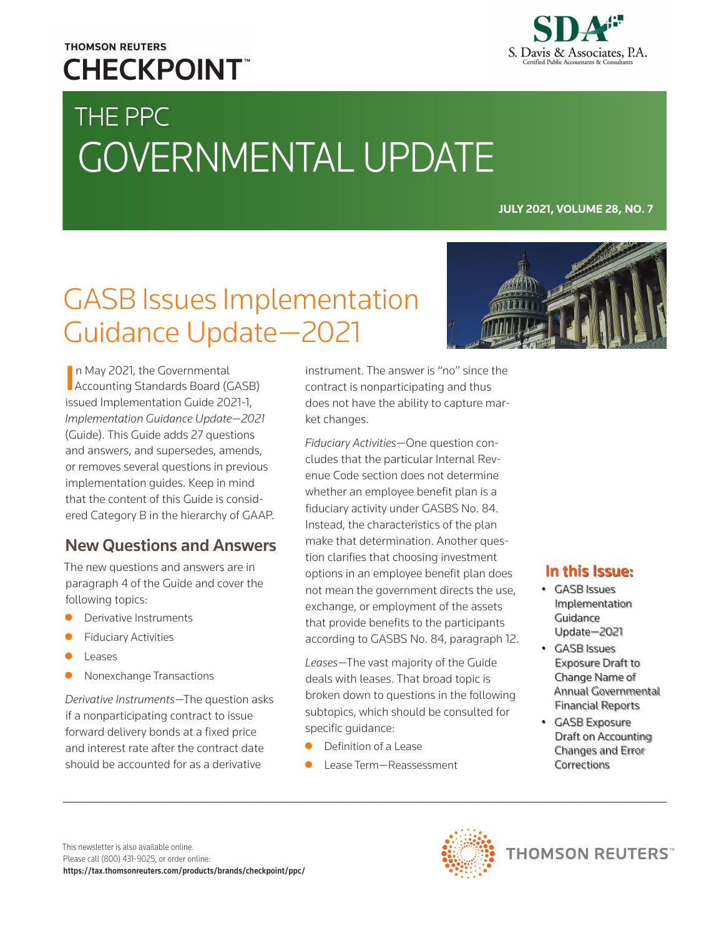### **THOMSON REUTERS CHECKPOINT**



# THE PPC GOVERNMENTAL UPDATE

**JULY 2021, VOLUME 28, NO. 7**

## GASB Issues Implementation Guidance Update—2021

In May 2021, the Governmental<br>Accounting Standards Board (GASB) n May 2021, the Governmental issued Implementation Guide 2021-1, *Implementation Guidance Update—2021* (Guide). This Guide adds 27 questions and answers, and supersedes, amends, or removes several questions in previous implementation guides. Keep in mind that the content of this Guide is considered Category B in the hierarchy of GAAP.

#### New Questions and Answers

The new questions and answers are in paragraph 4 of the Guide and cover the following topics:

- Derivative Instruments
- **Fiduciary Activities**
- Leases
- Nonexchange Transactions

*Derivative Instruments*—The question asks if a nonparticipating contract to issue forward delivery bonds at a fixed price and interest rate after the contract date should be accounted for as a derivative

instrument. The answer is "no" since the contract is nonparticipating and thus does not have the ability to capture market changes.

*Fiduciary Activities*—One question concludes that the particular Internal Revenue Code section does not determine whether an employee benefit plan is a fiduciary activity under GASBS No. 84. Instead, the characteristics of the plan make that determination. Another question clarifies that choosing investment options in an employee benefit plan does not mean the government directs the use, exchange, or employment of the assets that provide benefits to the participants according to GASBS No. 84, paragraph 12.

*Leases*—The vast majority of the Guide deals with leases. That broad topic is broken down to questions in the following subtopics, which should be consulted for specific guidance:

- Definition of a Lease
- z Lease Term—Reassessment

#### In this Issue:

- GASB Issues Implementation Guidance Update—2021
- GASB Issues Exposure Draft to Change Name of Annual Governmental Financial Reports
- GASB Exposure Draft on Accounting Changes and Error Corrections

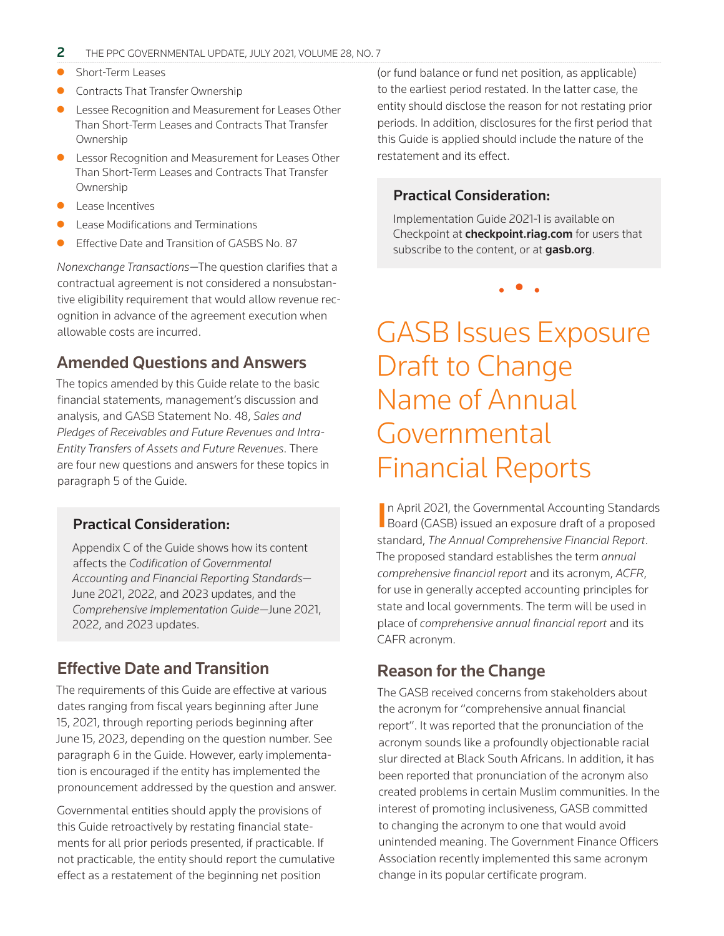- Short-Term Leases
- Contracts That Transfer Ownership
- Lessee Recognition and Measurement for Leases Other Than Short-Term Leases and Contracts That Transfer Ownership
- **•** Lessor Recognition and Measurement for Leases Other Than Short-Term Leases and Contracts That Transfer Ownership
- Lease Incentives
- Lease Modifications and Terminations
- Effective Date and Transition of GASBS No. 87

*Nonexchange Transactions*—The question clarifies that a contractual agreement is not considered a nonsubstantive eligibility requirement that would allow revenue recognition in advance of the agreement execution when allowable costs are incurred.

#### Amended Questions and Answers

The topics amended by this Guide relate to the basic financial statements, management's discussion and analysis, and GASB Statement No. 48, *Sales and Pledges of Receivables and Future Revenues and Intra-Entity Transfers of Assets and Future Revenues*. There are four new questions and answers for these topics in paragraph 5 of the Guide.

#### Practical Consideration:

Appendix C of the Guide shows how its content affects the *Codification of Governmental Accounting and Financial Reporting Standards*— June 2021, 2022, and 2023 updates, and the *Comprehensive Implementation Guide*—June 2021, 2022, and 2023 updates.

#### Effective Date and Transition

The requirements of this Guide are effective at various dates ranging from fiscal years beginning after June 15, 2021, through reporting periods beginning after June 15, 2023, depending on the question number. See paragraph 6 in the Guide. However, early implementation is encouraged if the entity has implemented the pronouncement addressed by the question and answer.

Governmental entities should apply the provisions of this Guide retroactively by restating financial statements for all prior periods presented, if practicable. If not practicable, the entity should report the cumulative effect as a restatement of the beginning net position

(or fund balance or fund net position, as applicable) to the earliest period restated. In the latter case, the entity should disclose the reason for not restating prior periods. In addition, disclosures for the first period that this Guide is applied should include the nature of the restatement and its effect.

#### Practical Consideration:

Implementation Guide 2021-1 is available on Checkpoint at **[checkpoint.riag.com](https://checkpoint.riag.com/app/find?begParm=y&appVer=21.07&dbName=GASB&linkType=docloc&locId=gasbqa_2021-1&ods=GASB&permaId=iGASB%3A2083.1&permaType=doc&tagName=GASBDOC&endParm=y)** for users that subscribe to the content, or at **[gasb.org](https://gasb.org)**.

• • •

### GASB Issues Exposure Draft to Change Name of Annual Governmental Financial Reports

In April 2021, the Governmental Accounting Standards<br>Board (GASB) issued an exposure draft of a proposed Board (GASB) issued an exposure draft of a proposed standard, *The Annual Comprehensive Financial Report*. The proposed standard establishes the term *annual comprehensive financial report* and its acronym, *ACFR*, for use in generally accepted accounting principles for state and local governments. The term will be used in place of *comprehensive annual financial report* and its CAFR acronym.

#### Reason for the Change

The GASB received concerns from stakeholders about the acronym for "comprehensive annual financial report". It was reported that the pronunciation of the acronym sounds like a profoundly objectionable racial slur directed at Black South Africans. In addition, it has been reported that pronunciation of the acronym also created problems in certain Muslim communities. In the interest of promoting inclusiveness, GASB committed to changing the acronym to one that would avoid unintended meaning. The Government Finance Officers Association recently implemented this same acronym change in its popular certificate program.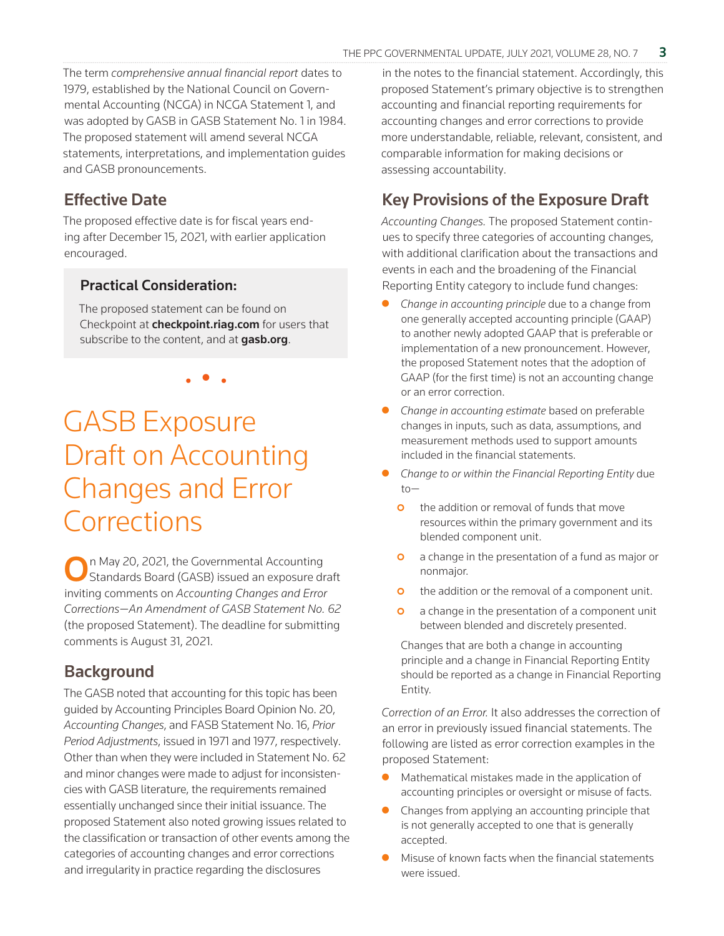The term *comprehensive annual financial report* dates to 1979, established by the National Council on Governmental Accounting (NCGA) in NCGA Statement 1, and was adopted by GASB in GASB Statement No. 1 in 1984. The proposed statement will amend several NCGA statements, interpretations, and implementation guides and GASB pronouncements.

#### Effective Date

The proposed effective date is for fiscal years ending after December 15, 2021, with earlier application encouraged.

#### Practical Consideration:

The proposed statement can be found on Checkpoint at **[checkpoint.riag.com](https://checkpoint.riag.com/app/find?begParm=y&appVer=21.07&dbName=GASB&linkType=docloc&locId=gasbed_3-42&ods=GASB&permaId=iGASB%3A2081.1&permaType=doc&tagName=GASBDOC&endParm=y)** for users that subscribe to the content, and at [gasb.org](https://gasb.org).

• • •

### GASB Exposure Draft on Accounting Changes and Error **Corrections**

On May 20, 2021, the Governmental Accounting Standards Board (GASB) issued an exposure draft inviting comments on *Accounting Changes and Error Corrections—An Amendment of GASB Statement No. 62* (the proposed Statement). The deadline for submitting comments is August 31, 2021.

#### **Background**

The GASB noted that accounting for this topic has been guided by Accounting Principles Board Opinion No. 20, *Accounting Changes*, and FASB Statement No. 16, *Prior Period Adjustments*, issued in 1971 and 1977, respectively. Other than when they were included in Statement No. 62 and minor changes were made to adjust for inconsistencies with GASB literature, the requirements remained essentially unchanged since their initial issuance. The proposed Statement also noted growing issues related to the classification or transaction of other events among the categories of accounting changes and error corrections and irregularity in practice regarding the disclosures

in the notes to the financial statement. Accordingly, this proposed Statement's primary objective is to strengthen accounting and financial reporting requirements for accounting changes and error corrections to provide more understandable, reliable, relevant, consistent, and comparable information for making decisions or assessing accountability.

#### Key Provisions of the Exposure Draft

*Accounting Changes.* The proposed Statement continues to specify three categories of accounting changes, with additional clarification about the transactions and events in each and the broadening of the Financial Reporting Entity category to include fund changes:

- Change in accounting principle due to a change from one generally accepted accounting principle (GAAP) to another newly adopted GAAP that is preferable or implementation of a new pronouncement. However, the proposed Statement notes that the adoption of GAAP (for the first time) is not an accounting change or an error correction.
- z *Change in accounting estimate* based on preferable changes in inputs, such as data, assumptions, and measurement methods used to support amounts included in the financial statements.
- z *Change to or within the Financial Reporting Entity* due to
	- **o** the addition or removal of funds that move resources within the primary government and its blended component unit.
	- **o** a change in the presentation of a fund as major or nonmajor.
	- **o** the addition or the removal of a component unit.
	- **o** a change in the presentation of a component unit between blended and discretely presented.

Changes that are both a change in accounting principle and a change in Financial Reporting Entity should be reported as a change in Financial Reporting Entity.

*Correction of an Error.* It also addresses the correction of an error in previously issued financial statements. The following are listed as error correction examples in the proposed Statement:

- Mathematical mistakes made in the application of accounting principles or oversight or misuse of facts.
- Changes from applying an accounting principle that is not generally accepted to one that is generally accepted.
- Misuse of known facts when the financial statements were issued.